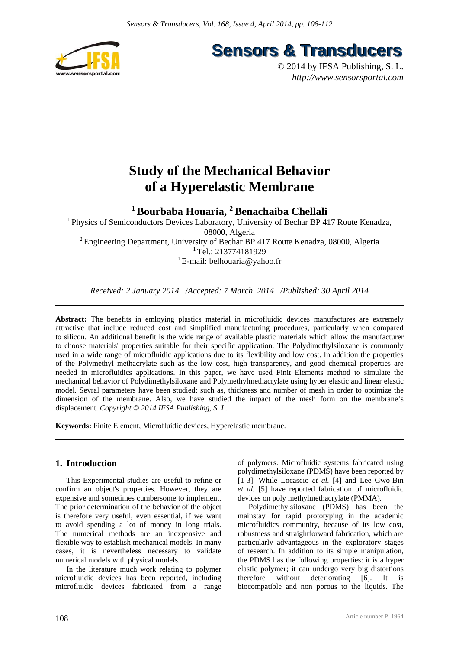

**Sensors & Transducers** 

© 2014 by IFSA Publishing, S. L. *http://www.sensorsportal.com*

# **Study of the Mechanical Behavior of a Hyperelastic Membrane**

**1 Bourbaba Houaria, 2 Benachaiba Chellali** 

1 Physics of Semiconductors Devices Laboratory, University of Bechar BP 417 Route Kenadza, 08000, Algeria 2 Engineering Department, University of Bechar BP 417 Route Kenadza, 08000, Algeria <sup>1</sup> Tel.: 213774181929 <sup>1</sup> E-mail: belhouaria@yahoo.fr

*Received: 2 January 2014 /Accepted: 7 March 2014 /Published: 30 April 2014*

**Abstract:** The benefits in emloying plastics material in microfluidic devices manufactures are extremely attractive that include reduced cost and simplified manufacturing procedures, particularly when compared to silicon. An additional benefit is the wide range of available plastic materials which allow the manufacturer to choose materials' properties suitable for their specific application. The Polydimethylsiloxane is commonly used in a wide range of microfluidic applications due to its flexibility and low cost. In addition the properties of the Polymethyl methacrylate such as the low cost, high transparency, and good chemical properties are needed in microfluidics applications. In this paper, we have used Finit Elements method to simulate the mechanical behavior of Polydimethylsiloxane and Polymethylmethacrylate using hyper elastic and linear elastic model. Sevral parameters have been studied; such as, thickness and number of mesh in order to optimize the dimension of the membrane. Also, we have studied the impact of the mesh form on the membrane's displacement. *Copyright © 2014 IFSA Publishing, S. L.*

**Keywords:** Finite Element, Microfluidic devices, Hyperelastic membrane.

## **1. Introduction**

This Experimental studies are useful to refine or confirm an object's properties. However, they are expensive and sometimes cumbersome to implement. The prior determination of the behavior of the object is therefore very useful, even essential, if we want to avoid spending a lot of money in long trials. The numerical methods are an inexpensive and flexible way to establish mechanical models. In many cases, it is nevertheless necessary to validate numerical models with physical models.

In the literature much work relating to polymer microfluidic devices has been reported, including microfluidic devices fabricated from a range of polymers. Microfluidic systems fabricated using polydimethylsiloxane (PDMS) have been reported by [1-3]. While Locascio *et al.* [4] and Lee Gwo-Bin *et al.* [5] have reported fabrication of microfluidic devices on poly methylmethacrylate (PMMA).

Polydimethylsiloxane (PDMS) has been the mainstay for rapid prototyping in the academic microfluidics community, because of its low cost, robustness and straightforward fabrication, which are particularly advantageous in the exploratory stages of research. In addition to its simple manipulation, the PDMS has the following properties: it is a hyper elastic polymer; it can undergo very big distortions therefore without deteriorating [6]. It is biocompatible and non porous to the liquids. The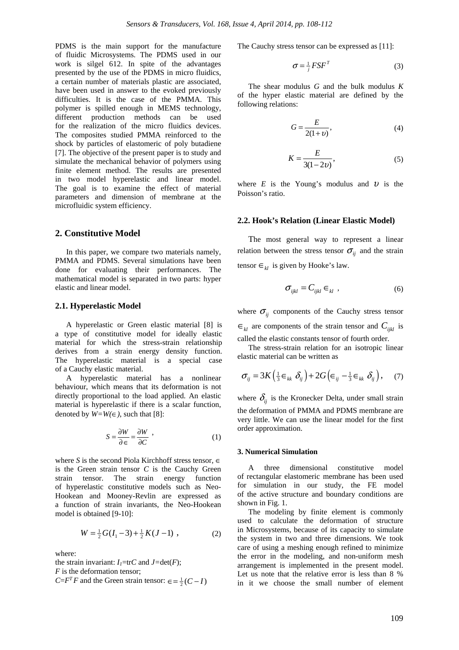PDMS is the main support for the manufacture of fluidic Microsystems. The PDMS used in our work is silgel 612. In spite of the advantages presented by the use of the PDMS in micro fluidics, a certain number of materials plastic are associated, have been used in answer to the evoked previously difficulties. It is the case of the PMMA. This polymer is spilled enough in MEMS technology, different production methods can be used for the realization of the micro fluidics devices. The composites studied PMMA reinforced to the shock by particles of elastomeric of poly butadiene [7]. The objective of the present paper is to study and simulate the mechanical behavior of polymers using finite element method. The results are presented in two model hyperelastic and linear model. The goal is to examine the effect of material parameters and dimension of membrane at the microfluidic system efficiency.

## **2. Constitutive Model**

In this paper, we compare two materials namely, PMMA and PDMS. Several simulations have been done for evaluating their performances. The mathematical model is separated in two parts: hyper elastic and linear model.

#### **2.1. Hyperelastic Model**

A hyperelastic or Green elastic material [8] is a type of constitutive model for ideally elastic material for which the stress-strain relationship derives from a strain energy density function. The hyperelastic material is a special case of a Cauchy elastic material.

A hyperelastic material has a nonlinear behaviour, which means that its deformation is not directly proportional to the load applied. An elastic material is hyperelastic if there is a scalar function, denoted by  $W=W(\infty)$ , such that [8]:

$$
S = \frac{\partial W}{\partial \epsilon} = \frac{\partial W}{\partial C} \tag{1}
$$

where *S* is the second Piola Kirchhoff stress tensor, ∈ is the Green strain tensor  $C$  is the Cauchy Green strain tensor. The strain energy function of hyperelastic constitutive models such as Neo-Hookean and Mooney-Revlin are expressed as a function of strain invariants, the Neo-Hookean model is obtained [9-10]:

$$
W = \frac{1}{2}G(I_1 - 3) + \frac{1}{2}K(J - 1) \tag{2}
$$

where:

the strain invariant:  $I_1$ =tr*C* and  $J=det(F)$ ; *F* is the deformation tensor;  $C = F^T F$  and the Green strain tensor:  $\epsilon = \frac{1}{2}(C - I)$  The Cauchy stress tensor can be expressed as [11]:

$$
\sigma = \frac{1}{j} F S F^T \tag{3}
$$

The shear modulus *G* and the bulk modulus *K* of the hyper elastic material are defined by the following relations:

$$
G = \frac{E}{2(1+v)},\tag{4}
$$

$$
K = \frac{E}{3(1 - 2\nu)},\tag{5}
$$

where  $E$  is the Young's modulus and  $U$  is the Poisson's ratio.

#### **2.2. Hook's Relation (Linear Elastic Model)**

The most general way to represent a linear relation between the stress tensor  $\sigma_{ij}$  and the strain tensor  $\epsilon_{kl}$  is given by Hooke's law.

$$
\sigma_{ijkl} = C_{ijkl} \in k \tag{6}
$$

where  $\sigma_{ii}$  components of the Cauchy stress tensor  $\epsilon_{kl}$  are components of the strain tensor and  $C_{ijkl}$  is called the elastic constants tensor of fourth order.

The stress-strain relation for an isotropic linear elastic material can be written as

$$
\sigma_{ij} = 3K\left(\frac{1}{3}\epsilon_{kk}\delta_{ij}\right) + 2G\left(\epsilon_{ij} - \frac{1}{3}\epsilon_{kk}\delta_{ij}\right),\quad(7)
$$

where  $\delta_{ij}$  is the Kronecker Delta, under small strain the deformation of PMMA and PDMS membrane are very little. We can use the linear model for the first order approximation.

### **3. Numerical Simulation**

A three dimensional constitutive model of rectangular elastomeric membrane has been used for simulation in our study, the FE model of the active structure and boundary conditions are shown in Fig. 1.

The modeling by finite element is commonly used to calculate the deformation of structure in Microsystems, because of its capacity to simulate the system in two and three dimensions. We took care of using a meshing enough refined to minimize the error in the modeling, and non-uniform mesh arrangement is implemented in the present model. Let us note that the relative error is less than 8 % in it we choose the small number of element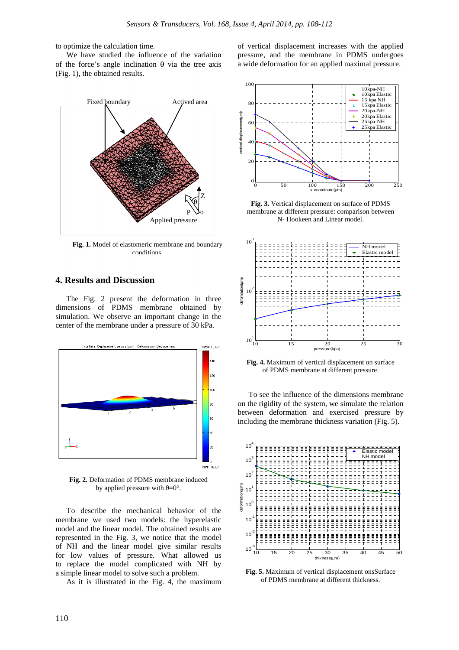to optimize the calculation time.

We have studied the influence of the variation of the force's angle inclination θ via the tree axis (Fig. 1), the obtained results.



**Fig. 1.** Model of elastomeric membrane and boundary conditions

## **4. Results and Discussion**

The Fig. 2 present the deformation in three dimensions of PDMS membrane obtained by simulation. We observe an important change in the center of the membrane under a pressure of 30 kPa.



**Fig. 2.** Deformation of PDMS membrane induced by applied pressure with  $\theta = 0^\circ$ .

To describe the mechanical behavior of the membrane we used two models: the hyperelastic model and the linear model. The obtained results are represented in the Fig. 3, we notice that the model of NH and the linear model give similar results for low values of pressure. What allowed us to replace the model complicated with NH by a simple linear model to solve such a problem.

As it is illustrated in the Fig. 4, the maximum

of vertical displacement increases with the applied pressure, and the membrane in PDMS undergoes a wide deformation for an applied maximal pressure.



**Fig. 3.** Vertical displacement on surface of PDMS membrane at different pressure: comparison between N- Hookeen and Linear model.



**Fig. 4.** Maximum of vertical displacement on surface of PDMS membrane at different pressure.

To see the influence of the dimensions membrane on the rigidity of the system, we simulate the relation between deformation and exercised pressure by including the membrane thickness variation (Fig. 5).



**Fig. 5.** Maximum of vertical displacement onsSurface of PDMS membrane at different thickness.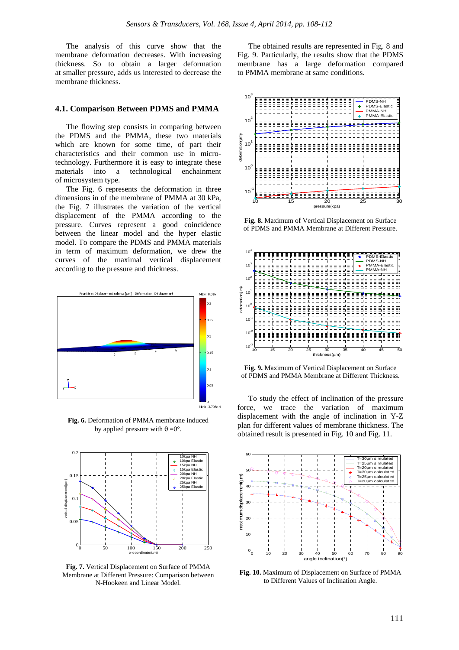The analysis of this curve show that the membrane deformation decreases. With increasing thickness. So to obtain a larger deformation at smaller pressure, adds us interested to decrease the membrane thickness.

#### **4.1. Comparison Between PDMS and PMMA**

The flowing step consists in comparing between the PDMS and the PMMA, these two materials which are known for some time, of part their characteristics and their common use in microtechnology. Furthermore it is easy to integrate these materials into a technological enchainment of microsystem type.

The Fig. 6 represents the deformation in three dimensions in of the membrane of PMMA at 30 kPa, the Fig. 7 illustrates the variation of the vertical displacement of the PMMA according to the pressure. Curves represent a good coincidence between the linear model and the hyper elastic model. To compare the PDMS and PMMA materials in term of maximum deformation, we drew the curves of the maximal vertical displacement according to the pressure and thickness.



**Fig. 6.** Deformation of PMMA membrane induced by applied pressure with  $\theta = 0^\circ$ .



**Fig. 7.** Vertical Displacement on Surface of PMMA Membrane at Different Pressure: Comparison between N-Hookeen and Linear Model.

The obtained results are represented in Fig. 8 and Fig. 9. Particularly, the results show that the PDMS membrane has a large deformation compared to PMMA membrane at same conditions.



**Fig. 8.** Maximum of Vertical Displacement on Surface of PDMS and PMMA Membrane at Different Pressure.



**Fig. 9.** Maximum of Vertical Displacement on Surface of PDMS and PMMA Membrane at Different Thickness.

To study the effect of inclination of the pressure force, we trace the variation of maximum displacement with the angle of inclination in Y-Z plan for different values of membrane thickness. The obtained result is presented in Fig. 10 and Fig. 11.



**Fig. 10.** Maximum of Displacement on Surface of PMMA to Different Values of Inclination Angle.